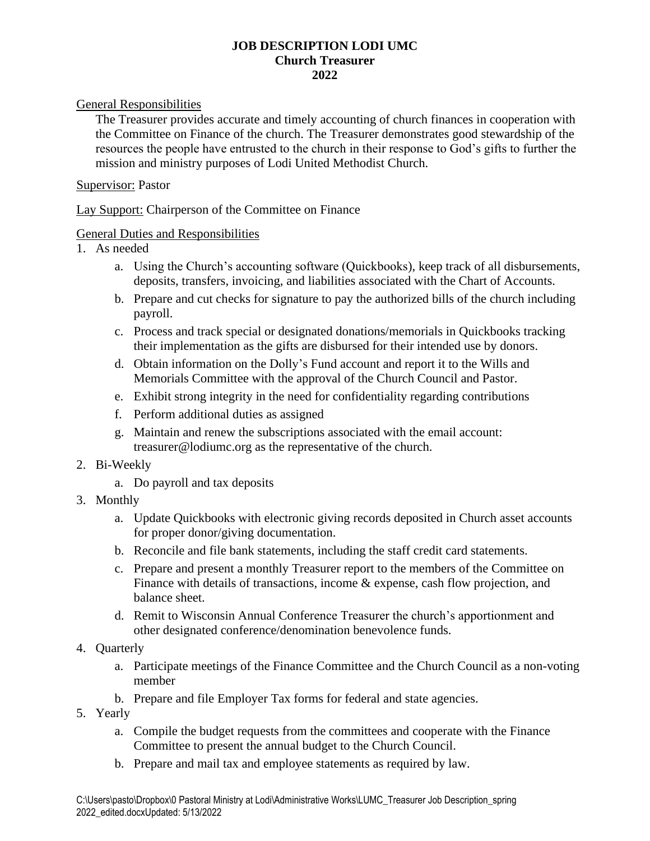## **JOB DESCRIPTION LODI UMC Church Treasurer 2022**

General Responsibilities

The Treasurer provides accurate and timely accounting of church finances in cooperation with the Committee on Finance of the church. The Treasurer demonstrates good stewardship of the resources the people have entrusted to the church in their response to God's gifts to further the mission and ministry purposes of Lodi United Methodist Church.

## Supervisor: Pastor

Lay Support: Chairperson of the Committee on Finance

## General Duties and Responsibilities

- 1. As needed
	- a. Using the Church's accounting software (Quickbooks), keep track of all disbursements, deposits, transfers, invoicing, and liabilities associated with the Chart of Accounts.
	- b. Prepare and cut checks for signature to pay the authorized bills of the church including payroll.
	- c. Process and track special or designated donations/memorials in Quickbooks tracking their implementation as the gifts are disbursed for their intended use by donors.
	- d. Obtain information on the Dolly's Fund account and report it to the Wills and Memorials Committee with the approval of the Church Council and Pastor.
	- e. Exhibit strong integrity in the need for confidentiality regarding contributions
	- f. Perform additional duties as assigned
	- g. Maintain and renew the subscriptions associated with the email account: treasurer@lodiumc.org as the representative of the church.
- 2. Bi-Weekly
	- a. Do payroll and tax deposits
- 3. Monthly
	- a. Update Quickbooks with electronic giving records deposited in Church asset accounts for proper donor/giving documentation.
	- b. Reconcile and file bank statements, including the staff credit card statements.
	- c. Prepare and present a monthly Treasurer report to the members of the Committee on Finance with details of transactions, income & expense, cash flow projection, and balance sheet.
	- d. Remit to Wisconsin Annual Conference Treasurer the church's apportionment and other designated conference/denomination benevolence funds.
- 4. Quarterly
	- a. Participate meetings of the Finance Committee and the Church Council as a non-voting member
	- b. Prepare and file Employer Tax forms for federal and state agencies.
- 5. Yearly
	- a. Compile the budget requests from the committees and cooperate with the Finance Committee to present the annual budget to the Church Council.
	- b. Prepare and mail tax and employee statements as required by law.